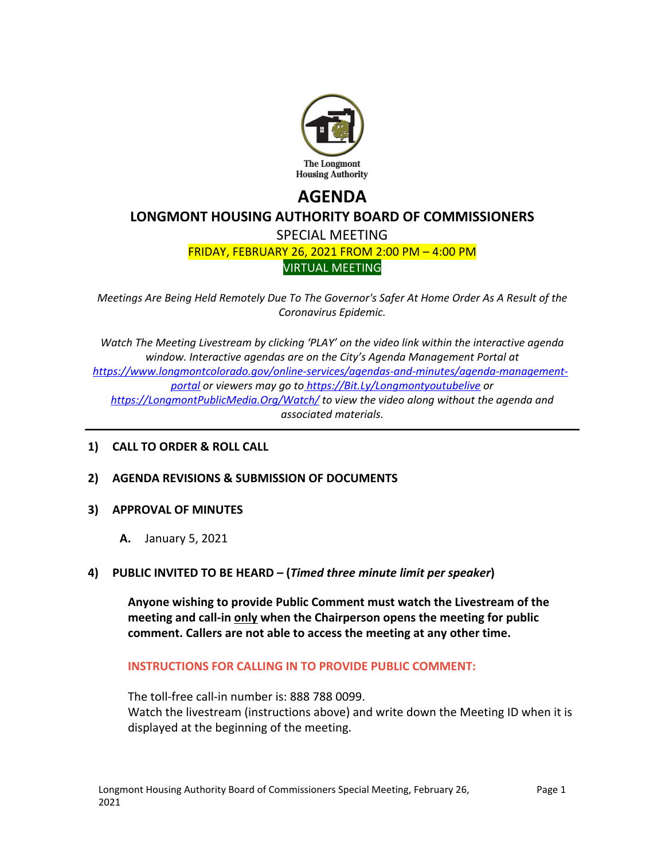

# **AGENDA LONGMONT HOUSING AUTHORITY BOARD OF COMMISSIONERS** SPECIAL MEETING FRIDAY, FEBRUARY 26, 2021 FROM 2:00 PM – 4:00 PM VIRTUAL MEETING

*Meetings Are Being Held Remotely Due To The Governor's Safer At Home Order As A Result of the Coronavirus Epidemic.*

*Watch The Meeting Livestream by clicking 'PLAY' on the video link within the interactive agenda window. Interactive agendas are on the City's Agenda Management Portal at [https://www.longmontcolorado.gov/online-services/agendas-and-minutes/agenda-management](https://www.longmontcolorado.gov/online-services/agendas-and-minutes/agenda-management-portal)[portal](https://www.longmontcolorado.gov/online-services/agendas-and-minutes/agenda-management-portal) or viewers may go to <https://Bit.Ly/Longmontyoutubelive> or <https://LongmontPublicMedia.Org/Watch/> to view the video along without the agenda and associated materials.*

# **1) CALL TO ORDER & ROLL CALL**

**2) AGENDA REVISIONS & SUBMISSION OF DOCUMENTS**

### **3) APPROVAL OF MINUTES**

- **A.** January 5, 2021
- **4) PUBLIC INVITED TO BE HEARD – (***Timed three minute limit per speaker* **)**

**Anyone wishing to provide Public Comment must watch the Livestream of the meeting and call-in only when the Chairperson opens the meeting for public comment. Callers are not able to access the meeting at any other time.**

### **INSTRUCTIONS FOR CALLING IN TO PROVIDE PUBLIC COMMENT:**

The toll-free call-in number is: 888 788 0099. Watch the livestream (instructions above) and write down the Meeting ID when it is

displayed at the beginning of the meeting.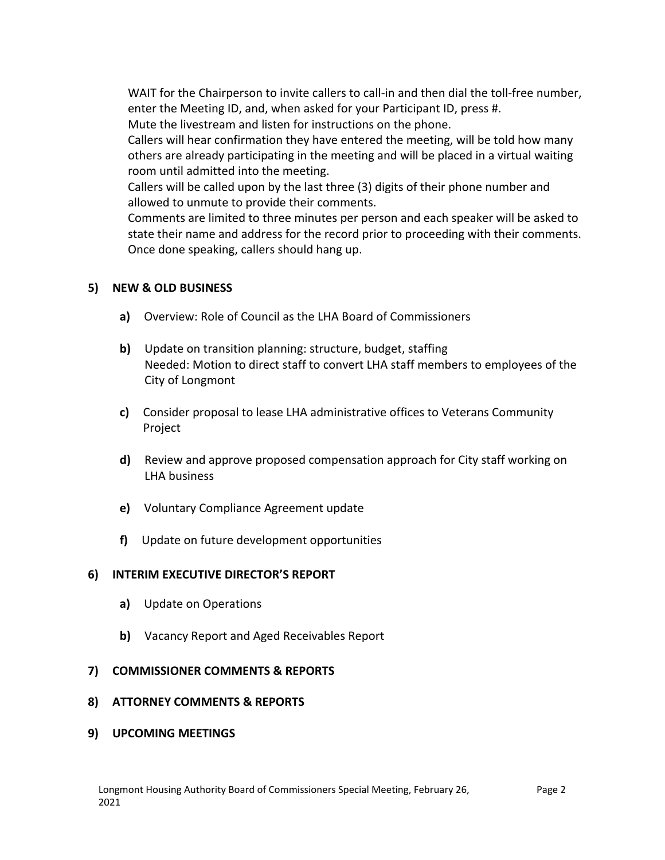WAIT for the Chairperson to invite callers to call-in and then dial the toll-free number, enter the Meeting ID, and, when asked for your Participant ID, press #.

Mute the livestream and listen for instructions on the phone.

Callers will hear confirmation they have entered the meeting, will be told how many others are already participating in the meeting and will be placed in a virtual waiting room until admitted into the meeting.

Callers will be called upon by the last three (3) digits of their phone number and allowed to unmute to provide their comments.

Comments are limited to three minutes per person and each speaker will be asked to state their name and address for the record prior to proceeding with their comments. Once done speaking, callers should hang up.

# **5) NEW & OLD BUSINESS**

- **a)** Overview: Role of Council as the LHA Board of Commissioners
- **b)** Update on transition planning: structure, budget, staffing Needed: Motion to direct staff to convert LHA staff members to employees of the City of Longmont
- **c)** Consider proposal to lease LHA administrative offices to Veterans Community Project
- **d)** Review and approve proposed compensation approach for City staff working on LHA business
- **e)** Voluntary Compliance Agreement update
- **f)** Update on future development opportunities

# **6) INTERIM EXECUTIVE DIRECTOR'S REPORT**

- **a)** Update on Operations
- **b)** Vacancy Report and Aged Receivables Report

# **7) COMMISSIONER COMMENTS & REPORTS**

### **8) ATTORNEY COMMENTS & REPORTS**

**9) UPCOMING MEETINGS**